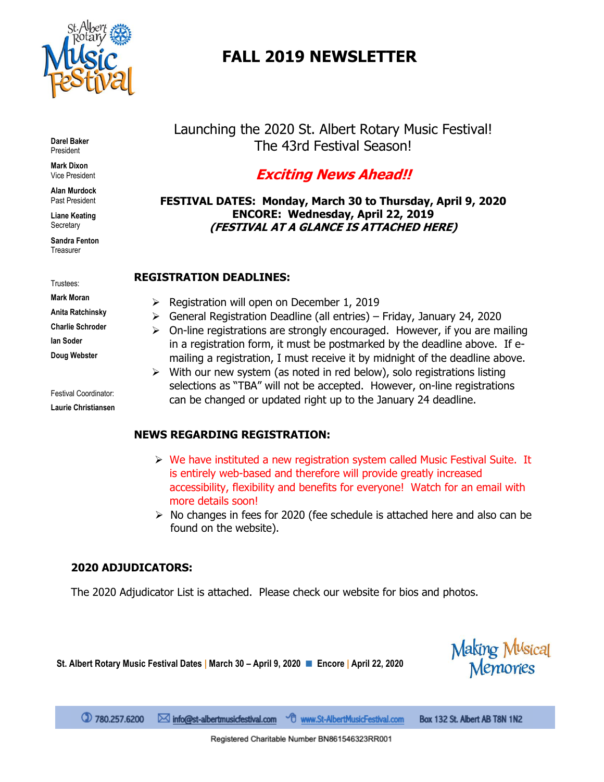

# **FALL 2019 NEWSLETTER**

**Darel Baker** President

**Mark Dixon** Vice President

**Alan Murdock** Past President

**Liane Keating Secretary** 

**Sandra Fenton Treasurer** 

Trustees:

**Mark Moran Anita Ratchinsky Charlie Schroder Ian Soder**

**Doug Webster**

Festival Coordinator: **Laurie Christiansen** Launching the 2020 St. Albert Rotary Music Festival! The 43rd Festival Season!

# **Exciting News Ahead!!**

**FESTIVAL DATES: Monday, March 30 to Thursday, April 9, 2020 ENCORE: Wednesday, April 22, 2019 (FESTIVAL AT A GLANCE IS ATTACHED HERE)**

### **REGISTRATION DEADLINES:**

- ➢ Registration will open on December 1, 2019
- ➢ General Registration Deadline (all entries) Friday, January 24, 2020
- ➢ On-line registrations are strongly encouraged. However, if you are mailing in a registration form, it must be postmarked by the deadline above. If emailing a registration, I must receive it by midnight of the deadline above.
- ➢ With our new system (as noted in red below), solo registrations listing selections as "TBA" will not be accepted. However, on-line registrations can be changed or updated right up to the January 24 deadline.

# **NEWS REGARDING REGISTRATION:**

- $\triangleright$  We have instituted a new registration system called Music Festival Suite. It is entirely web-based and therefore will provide greatly increased accessibility, flexibility and benefits for everyone! Watch for an email with more details soon!
- ➢ No changes in fees for 2020 (fee schedule is attached here and also can be found on the website).

Making M<sup>u</sup>sical<br>Memories

# **2020 ADJUDICATORS:**

The 2020 Adjudicator List is attached. Please check our website for bios and photos.

**St. Albert Rotary Music Festival Dates | March 30 – April 9, 2020** ◼ **Encore | April 22, 2020**